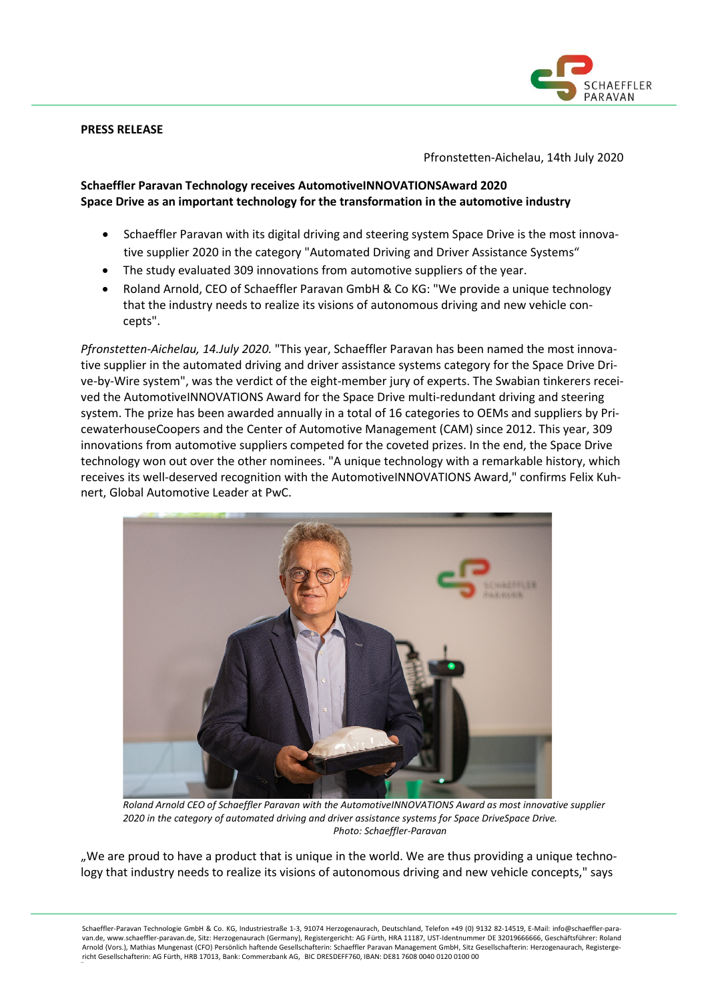## **PRESS RELEASE**



Pfronstetten-Aichelau, 14th July 2020

# **Schaeffler Paravan Technology receives AutomotiveINNOVATIONSAward 2020 Space Drive as an important technology for the transformation in the automotive industry**

- Schaeffler Paravan with its digital driving and steering system Space Drive is the most innovative supplier 2020 in the category "Automated Driving and Driver Assistance Systems"
- The study evaluated 309 innovations from automotive suppliers of the year.
- Roland Arnold, CEO of Schaeffler Paravan GmbH & Co KG: "We provide a unique technology that the industry needs to realize its visions of autonomous driving and new vehicle concepts".

*Pfronstetten-Aichelau, 14.July 2020.* "This year, Schaeffler Paravan has been named the most innovative supplier in the automated driving and driver assistance systems category for the Space Drive Drive-by-Wire system", was the verdict of the eight-member jury of experts. The Swabian tinkerers received the AutomotiveINNOVATIONS Award for the Space Drive multi-redundant driving and steering system. The prize has been awarded annually in a total of 16 categories to OEMs and suppliers by PricewaterhouseCoopers and the Center of Automotive Management (CAM) since 2012. This year, 309 innovations from automotive suppliers competed for the coveted prizes. In the end, the Space Drive technology won out over the other nominees. "A unique technology with a remarkable history, which receives its well-deserved recognition with the AutomotiveINNOVATIONS Award," confirms Felix Kuhnert, Global Automotive Leader at PwC.



*Roland Arnold CEO of Schaeffler Paravan with the AutomotiveINNOVATIONS Award as most innovative supplier 2020 in the category of automated driving and driver assistance systems for Space DriveSpace Drive. Photo: Schaeffler-Paravan*

"We are proud to have a product that is unique in the world. We are thus providing a unique technology that industry needs to realize its visions of autonomous driving and new vehicle concepts," says

Schaeffler-Paravan Technologie GmbH & Co. KG, Industriestraße 1-3, 91074 Herzogenaurach, Deutschland, Telefon +49 (0) 9132 82-14519, E-Mail: info@schaeffler-paravan.de, www.schaeffler-paravan.de, Sitz: Herzogenaurach (Germany), Registergericht: AG Fürth, HRA 11187, UST-Identnummer DE 32019666666, Geschäftsführer: Roland Arnold (Vors.), Mathias Mungenast (CFO) Persönlich haftende Gesellschafterin: Schaeffler Paravan Management GmbH, Sitz Gesellschafterin: Herzogenaurach, Registergericht Gesellschafterin: AG Fürth, HRB 17013, Bank: Commerzbank AG, BIC DRESDEFF760, IBAN: DE81 7608 0040 0120 0100 00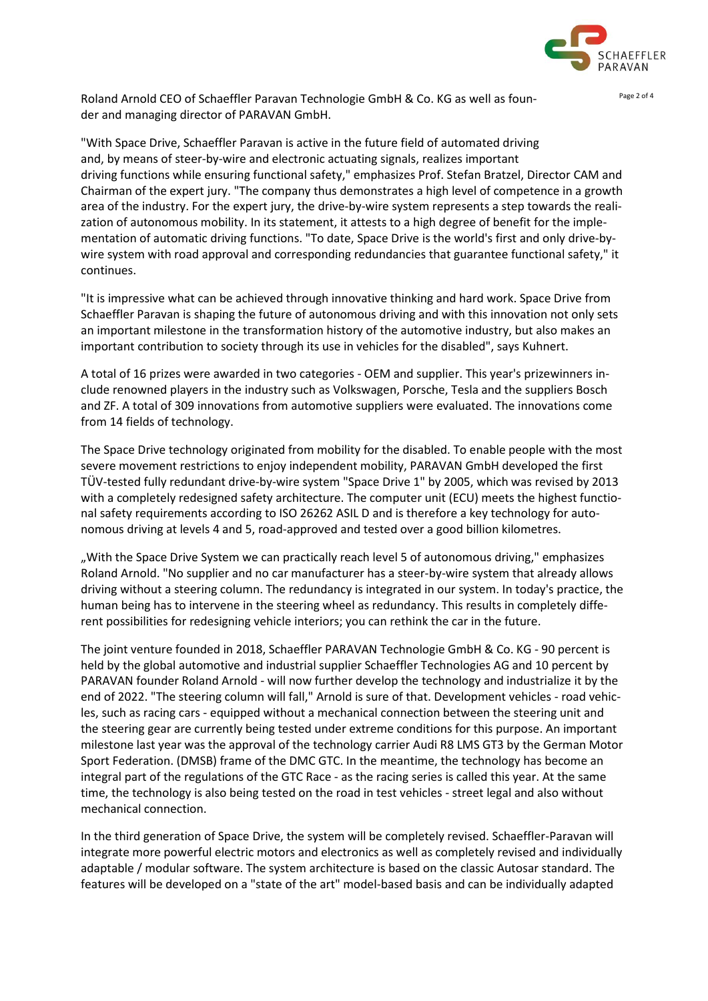

Roland Arnold CEO of Schaeffler Paravan Technologie GmbH & Co. KG as well as founder and managing director of PARAVAN GmbH.

"With Space Drive, Schaeffler Paravan is active in the future field of automated driving and, by means of steer-by-wire and electronic actuating signals, realizes important driving functions while ensuring functional safety," emphasizes Prof. Stefan Bratzel, Director CAM and Chairman of the expert jury. "The company thus demonstrates a high level of competence in a growth area of the industry. For the expert jury, the drive-by-wire system represents a step towards the realization of autonomous mobility. In its statement, it attests to a high degree of benefit for the implementation of automatic driving functions. "To date, Space Drive is the world's first and only drive-bywire system with road approval and corresponding redundancies that guarantee functional safety," it continues.

"It is impressive what can be achieved through innovative thinking and hard work. Space Drive from Schaeffler Paravan is shaping the future of autonomous driving and with this innovation not only sets an important milestone in the transformation history of the automotive industry, but also makes an important contribution to society through its use in vehicles for the disabled", says Kuhnert.

A total of 16 prizes were awarded in two categories - OEM and supplier. This year's prizewinners include renowned players in the industry such as Volkswagen, Porsche, Tesla and the suppliers Bosch and ZF. A total of 309 innovations from automotive suppliers were evaluated. The innovations come from 14 fields of technology.

The Space Drive technology originated from mobility for the disabled. To enable people with the most severe movement restrictions to enjoy independent mobility, PARAVAN GmbH developed the first TÜV-tested fully redundant drive-by-wire system "Space Drive 1" by 2005, which was revised by 2013 with a completely redesigned safety architecture. The computer unit (ECU) meets the highest functional safety requirements according to ISO 26262 ASIL D and is therefore a key technology for autonomous driving at levels 4 and 5, road-approved and tested over a good billion kilometres.

"With the Space Drive System we can practically reach level 5 of autonomous driving," emphasizes Roland Arnold. "No supplier and no car manufacturer has a steer-by-wire system that already allows driving without a steering column. The redundancy is integrated in our system. In today's practice, the human being has to intervene in the steering wheel as redundancy. This results in completely different possibilities for redesigning vehicle interiors; you can rethink the car in the future.

The joint venture founded in 2018, Schaeffler PARAVAN Technologie GmbH & Co. KG - 90 percent is held by the global automotive and industrial supplier Schaeffler Technologies AG and 10 percent by PARAVAN founder Roland Arnold - will now further develop the technology and industrialize it by the end of 2022. "The steering column will fall," Arnold is sure of that. Development vehicles - road vehicles, such as racing cars - equipped without a mechanical connection between the steering unit and the steering gear are currently being tested under extreme conditions for this purpose. An important milestone last year was the approval of the technology carrier Audi R8 LMS GT3 by the German Motor Sport Federation. (DMSB) frame of the DMC GTC. In the meantime, the technology has become an integral part of the regulations of the GTC Race - as the racing series is called this year. At the same time, the technology is also being tested on the road in test vehicles - street legal and also without mechanical connection.

In the third generation of Space Drive, the system will be completely revised. Schaeffler-Paravan will integrate more powerful electric motors and electronics as well as completely revised and individually adaptable / modular software. The system architecture is based on the classic Autosar standard. The features will be developed on a "state of the art" model-based basis and can be individually adapted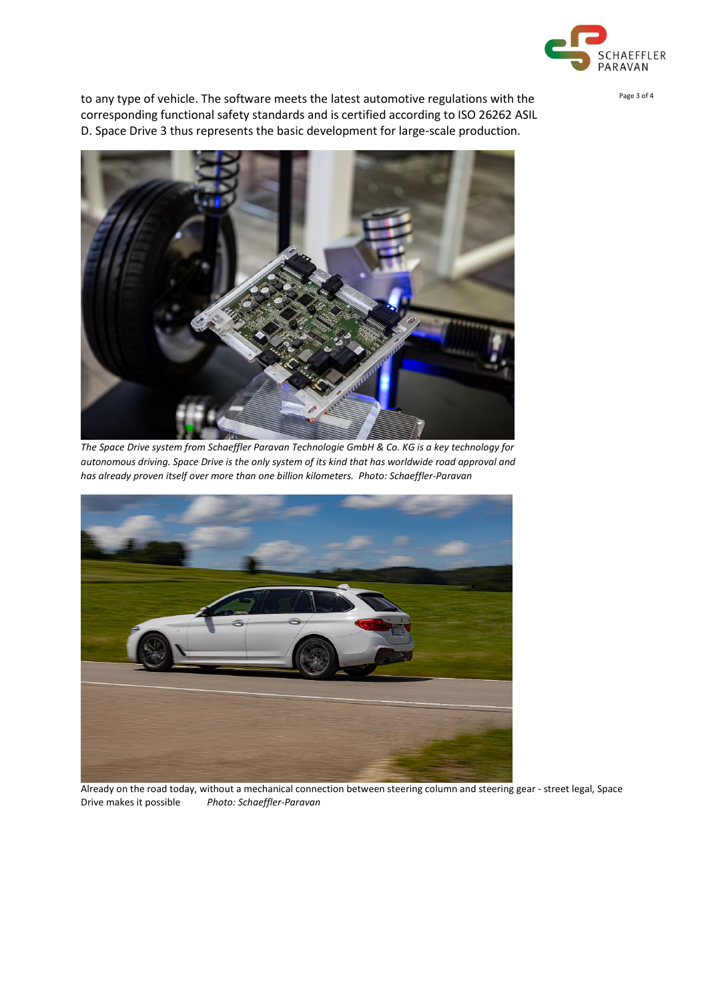

to any type of vehicle. The software meets the latest automotive regulations with the ration of Page 3 of 4 corresponding functional safety standards and is certified according to ISO 26262 ASIL D. Space Drive 3 thus represents the basic development for large-scale production.



*The Space Drive system from Schaeffler Paravan Technologie GmbH & Co. KG is a key technology for autonomous driving. Space Drive is the only system of its kind that has worldwide road approval and has already proven itself over more than one billion kilometers. Photo: Schaeffler-Paravan*



Already on the road today, without a mechanical connection between steering column and steering gear - street legal, Space Drive makes it possible *Photo: Schaeffler-Paravan*